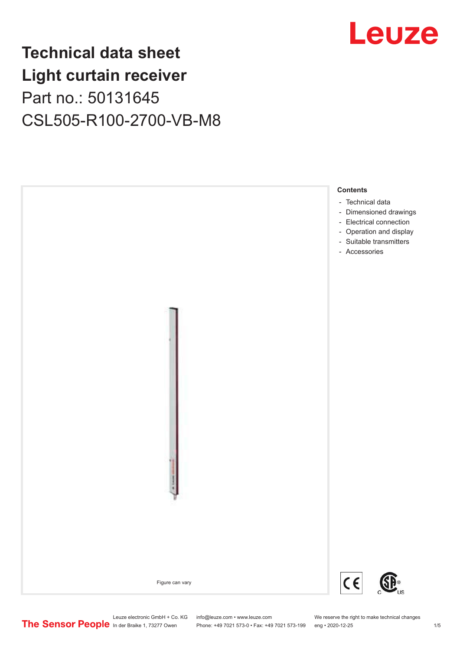### Leuze

### **Technical data sheet Light curtain receiver** Part no.: 50131645 CSL505-R100-2700-VB-M8



Leuze electronic GmbH + Co. KG info@leuze.com • www.leuze.com We reserve the right to make technical changes<br>
The Sensor People in der Braike 1, 73277 Owen Phone: +49 7021 573-0 • Fax: +49 7021 573-199 eng • 2020-12-25

Phone: +49 7021 573-0 • Fax: +49 7021 573-199 eng • 2020-12-25 1 /5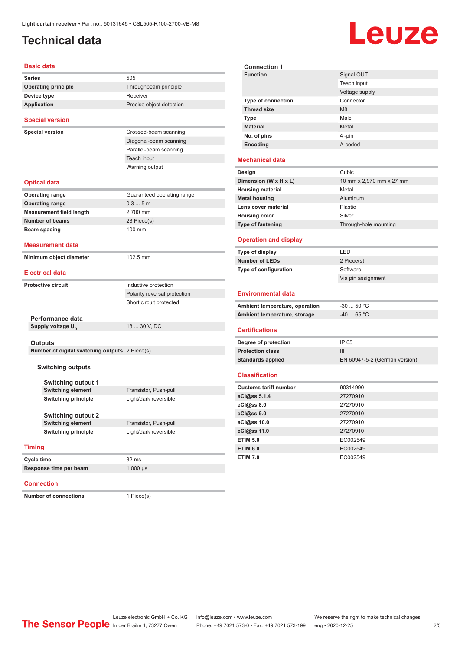#### <span id="page-1-0"></span>**Technical data**

# Leuze

**Signal OUT** 

| <b>Basic data</b>                              |                              |  |  |
|------------------------------------------------|------------------------------|--|--|
| <b>Series</b>                                  | 505                          |  |  |
| <b>Operating principle</b>                     | Throughbeam principle        |  |  |
| Device type                                    | Receiver                     |  |  |
| <b>Application</b>                             | Precise object detection     |  |  |
| <b>Special version</b>                         |                              |  |  |
| <b>Special version</b>                         | Crossed-beam scanning        |  |  |
|                                                | Diagonal-beam scanning       |  |  |
|                                                | Parallel-beam scanning       |  |  |
|                                                | Teach input                  |  |  |
|                                                | Warning output               |  |  |
| <b>Optical data</b>                            |                              |  |  |
| <b>Operating range</b>                         | Guaranteed operating range   |  |  |
| <b>Operating range</b>                         | 0.35m                        |  |  |
| <b>Measurement field length</b>                | 2,700 mm                     |  |  |
| Number of beams                                | 28 Piece(s)                  |  |  |
| Beam spacing                                   | 100 mm                       |  |  |
| <b>Measurement data</b>                        |                              |  |  |
| Minimum object diameter                        | 102.5 mm                     |  |  |
| <b>Electrical data</b>                         |                              |  |  |
|                                                |                              |  |  |
| <b>Protective circuit</b>                      | Inductive protection         |  |  |
|                                                | Polarity reversal protection |  |  |
|                                                | Short circuit protected      |  |  |
| Performance data                               |                              |  |  |
| Supply voltage U <sub>B</sub>                  | 18  30 V, DC                 |  |  |
|                                                |                              |  |  |
| Outputs                                        |                              |  |  |
| Number of digital switching outputs 2 Piece(s) |                              |  |  |
|                                                |                              |  |  |
| <b>Switching outputs</b>                       |                              |  |  |
| <b>Switching output 1</b>                      |                              |  |  |
| <b>Switching element</b>                       | Transistor, Push-pull        |  |  |
| <b>Switching principle</b>                     | Light/dark reversible        |  |  |
|                                                |                              |  |  |
| <b>Switching output 2</b>                      |                              |  |  |
| <b>Switching element</b>                       | Transistor, Push-pull        |  |  |
| <b>Switching principle</b>                     | Light/dark reversible        |  |  |
| <b>Timing</b>                                  |                              |  |  |
| <b>Cycle time</b>                              | 32 ms                        |  |  |
| Response time per beam                         | $1,000 \,\mu s$              |  |  |
|                                                |                              |  |  |

#### **Connection**

**Number of connections** 1 Piece(s)

|                                | Teach input                   |
|--------------------------------|-------------------------------|
|                                | Voltage supply                |
| Type of connection             | Connector                     |
| <b>Thread size</b>             | M8                            |
| <b>Type</b>                    | Male                          |
| <b>Material</b>                | Metal                         |
| No. of pins                    | 4-pin                         |
| Encoding                       | A-coded                       |
| <b>Mechanical data</b>         |                               |
| Design                         | Cubic                         |
| Dimension (W x H x L)          | 10 mm x 2,970 mm x 27 mm      |
| <b>Housing material</b>        | Metal                         |
| <b>Metal housing</b>           | Aluminum                      |
| Lens cover material            | Plastic                       |
| <b>Housing color</b>           | Silver                        |
| Type of fastening              | Through-hole mounting         |
| <b>Operation and display</b>   |                               |
| Type of display                | LED                           |
|                                |                               |
| <b>Number of LEDs</b>          | 2 Piece(s)                    |
| Type of configuration          | Software                      |
|                                | Via pin assignment            |
| <b>Environmental data</b>      |                               |
| Ambient temperature, operation | $-30$ 50 °C                   |
| Ambient temperature, storage   | $-40$ 65 °C                   |
| <b>Certifications</b>          |                               |
| Degree of protection           | IP 65                         |
| <b>Protection class</b>        | III                           |
| <b>Standards applied</b>       | EN 60947-5-2 (German version) |
| <b>Classification</b>          |                               |
| <b>Customs tariff number</b>   | 90314990                      |
| eCl@ss 5.1.4                   | 27270910                      |
| eCl@ss 8.0                     | 27270910                      |
| eCl@ss 9.0                     | 27270910                      |
| eCl@ss 10.0                    | 27270910                      |
| eCl@ss 11.0                    | 27270910                      |
| <b>ETIM 5.0</b>                | EC002549                      |
| <b>ETIM 6.0</b>                | EC002549                      |

**Connection 1**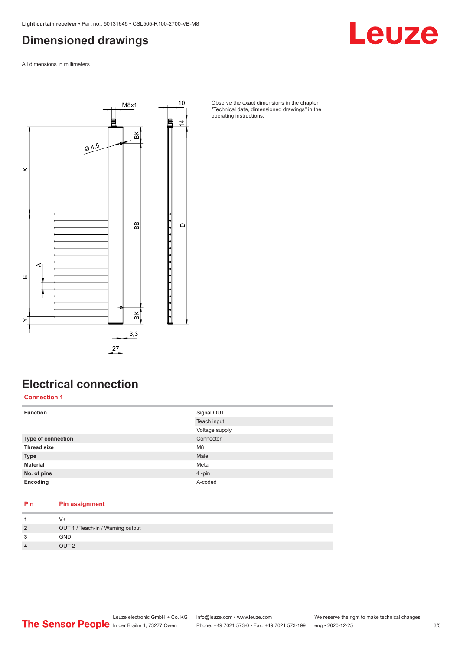#### <span id="page-2-0"></span>**Dimensioned drawings**

Leuze

All dimensions in millimeters



Observe the exact dimensions in the chapter "Technical data, dimensioned drawings" in the operating instructions.

### **Electrical connection**

**Connection 1**

| <b>Function</b>    | Signal OUT     |
|--------------------|----------------|
|                    | Teach input    |
|                    | Voltage supply |
| Type of connection | Connector      |
| <b>Thread size</b> | M <sub>8</sub> |
| <b>Type</b>        | Male           |
| <b>Material</b>    | Metal          |
| No. of pins        | $4 - pin$      |
| Encoding           | A-coded        |

#### **Pin Pin assignment**

| $\overline{2}$ | OUT 1 / Teach-in / Warning output |
|----------------|-----------------------------------|
| 3              | <b>GND</b>                        |
| $\overline{4}$ | OUT <sub>2</sub>                  |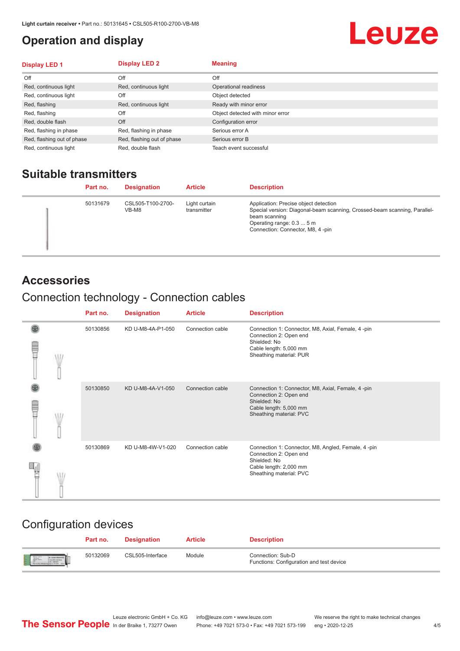#### <span id="page-3-0"></span>**Operation and display**

## Leuze

| <b>Display LED 1</b>       | <b>Display LED 2</b>       | <b>Meaning</b>                   |
|----------------------------|----------------------------|----------------------------------|
| Off                        | Off                        | Off                              |
| Red, continuous light      | Red, continuous light      | Operational readiness            |
| Red, continuous light      | Off                        | Object detected                  |
| Red, flashing              | Red, continuous light      | Ready with minor error           |
| Red, flashing              | Off                        | Object detected with minor error |
| Red, double flash          | Off                        | Configuration error              |
| Red, flashing in phase     | Red, flashing in phase     | Serious error A                  |
| Red, flashing out of phase | Red, flashing out of phase | Serious error B                  |
| Red, continuous light      | Red, double flash          | Teach event successful           |

#### **Suitable transmitters**

| Part no. | <b>Designation</b>         | <b>Article</b>               | <b>Description</b>                                                                                                                                                                                   |
|----------|----------------------------|------------------------------|------------------------------------------------------------------------------------------------------------------------------------------------------------------------------------------------------|
| 50131679 | CSL505-T100-2700-<br>VB-M8 | Light curtain<br>transmitter | Application: Precise object detection<br>Special version: Diagonal-beam scanning, Crossed-beam scanning, Parallel-<br>beam scanning<br>Operating range: 0.3  5 m<br>Connection: Connector, M8, 4-pin |

#### **Accessories**

#### Connection technology - Connection cables

|   | Part no. | <b>Designation</b> | <b>Article</b>   | <b>Description</b>                                                                                                                                |
|---|----------|--------------------|------------------|---------------------------------------------------------------------------------------------------------------------------------------------------|
| Ī | 50130856 | KD U-M8-4A-P1-050  | Connection cable | Connection 1: Connector, M8, Axial, Female, 4-pin<br>Connection 2: Open end<br>Shielded: No<br>Cable length: 5,000 mm<br>Sheathing material: PUR  |
|   | 50130850 | KD U-M8-4A-V1-050  | Connection cable | Connection 1: Connector, M8, Axial, Female, 4-pin<br>Connection 2: Open end<br>Shielded: No<br>Cable length: 5,000 mm<br>Sheathing material: PVC  |
|   | 50130869 | KD U-M8-4W-V1-020  | Connection cable | Connection 1: Connector, M8, Angled, Female, 4-pin<br>Connection 2: Open end<br>Shielded: No<br>Cable length: 2,000 mm<br>Sheathing material: PVC |

#### Configuration devices

|                          | Part no. | <b>Designation</b> | <b>Article</b> | <b>Description</b>                                            |
|--------------------------|----------|--------------------|----------------|---------------------------------------------------------------|
| <b>Expertise Service</b> | 50132069 | CSL505-Interface   | Module         | Connection: Sub-D<br>Functions: Configuration and test device |